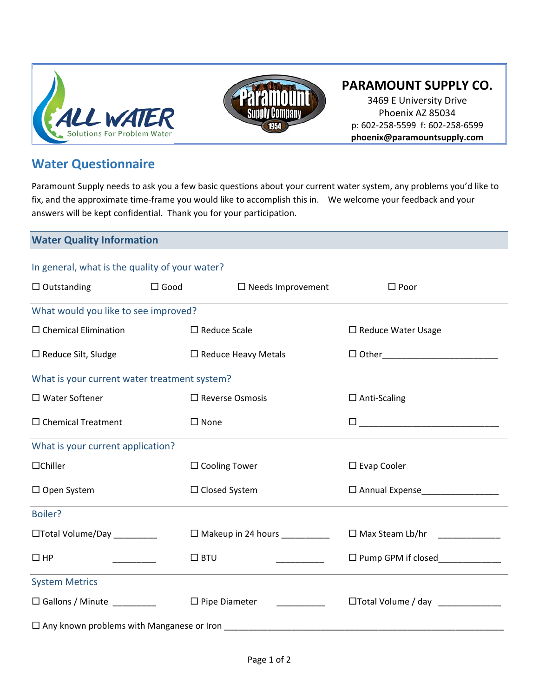



## **PARAMOUNT SUPPLY CO.**

3469 E University Drive Phoenix AZ 85034 p: 602‐258‐5599 f: 602‐258‐6599 **phoenix@paramountsupply.com**

## **Water Questionnaire**

Paramount Supply needs to ask you a few basic questions about your current water system, any problems you'd like to fix, and the approximate time‐frame you would like to accomplish this in. We welcome your feedback and your answers will be kept confidential. Thank you for your participation.

## **Water Quality Information**

| In general, what is the quality of your water?   |                                       |                            |                                      |
|--------------------------------------------------|---------------------------------------|----------------------------|--------------------------------------|
| $\Box$ Outstanding                               | $\Box$ Good                           | $\Box$ Needs Improvement   | $\square$ Poor                       |
| What would you like to see improved?             |                                       |                            |                                      |
| $\Box$ Chemical Elimination                      |                                       | $\Box$ Reduce Scale        | $\Box$ Reduce Water Usage            |
| $\Box$ Reduce Silt, Sludge                       |                                       | $\Box$ Reduce Heavy Metals |                                      |
| What is your current water treatment system?     |                                       |                            |                                      |
| $\square$ Water Softener                         |                                       | $\Box$ Reverse Osmosis     | $\Box$ Anti-Scaling                  |
| $\Box$ Chemical Treatment                        | $\square$ None                        |                            |                                      |
| What is your current application?                |                                       |                            |                                      |
| $\Box$ Chiller                                   |                                       | $\Box$ Cooling Tower       | $\square$ Evap Cooler                |
| $\Box$ Open System                               |                                       | $\Box$ Closed System       | □ Annual Expense____________________ |
| Boiler?                                          |                                       |                            |                                      |
| □Total Volume/Day ________                       | $\Box$ Makeup in 24 hours ___________ |                            | $\Box$ Max Steam Lb/hr               |
| $\Box$ HP<br><u> De Santa Carlos de</u>          | $\square$ BTU                         | <u> 2002 - 2002 - 20</u>   | □ Pump GPM if closed____________     |
| <b>System Metrics</b>                            |                                       |                            |                                      |
| □ Gallons / Minute _________                     |                                       | $\Box$ Pipe Diameter       | □Total Volume / day ____________     |
| $\Box$ Any known problems with Manganese or Iron |                                       |                            |                                      |